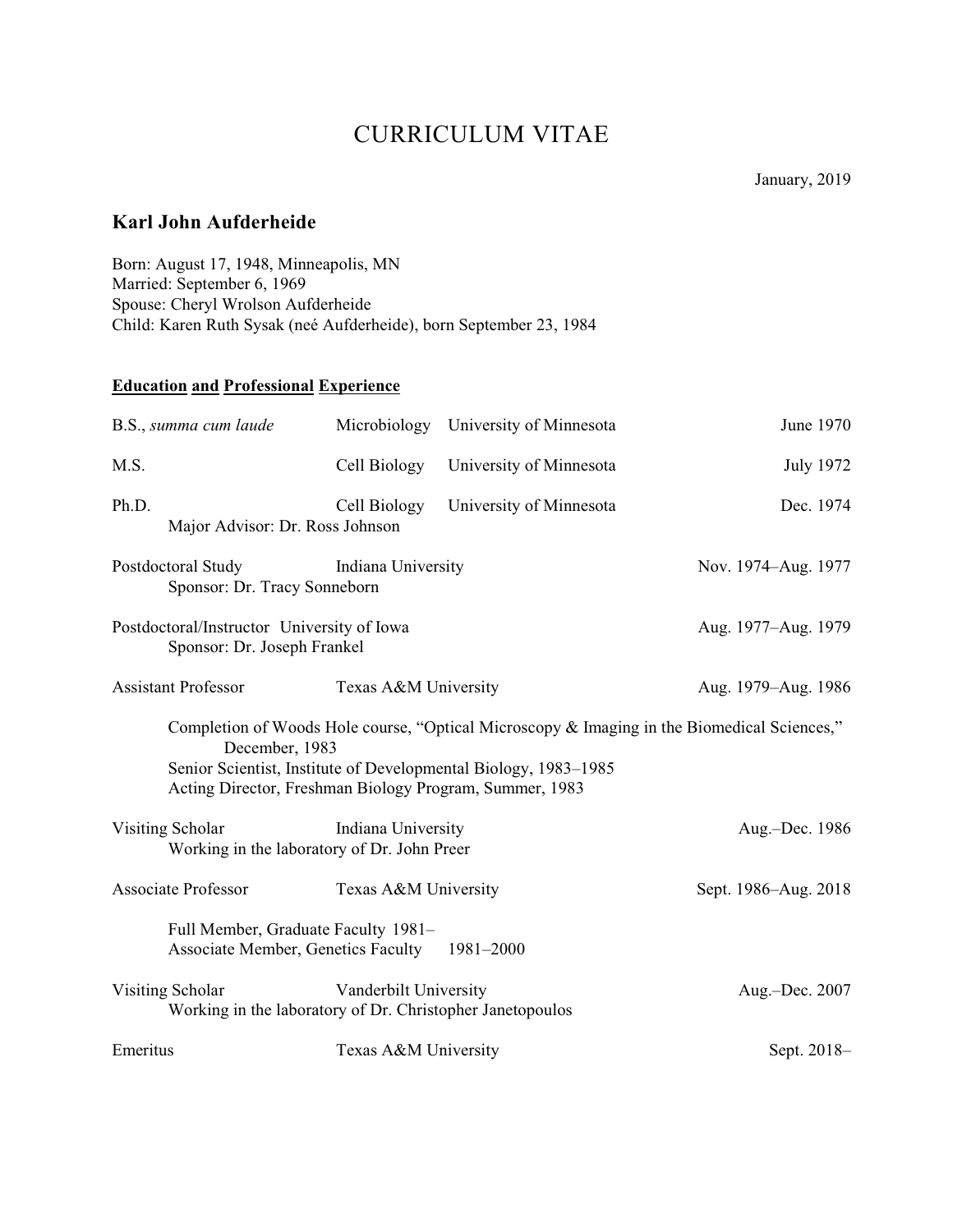# CURRICULUM VITAE

# **Karl John Aufderheide**

Born: August 17, 1948, Minneapolis, MN Married: September 6, 1969 Spouse: Cheryl Wrolson Aufderheide Child: Karen Ruth Sysak (neé Aufderheide), born September 23, 1984

# **Education and Professional Experience**

| B.S., summa cum laude                                                                                                                                                                                                                       |                                                    | Microbiology University of Minnesota | June 1970            |
|---------------------------------------------------------------------------------------------------------------------------------------------------------------------------------------------------------------------------------------------|----------------------------------------------------|--------------------------------------|----------------------|
| M.S.                                                                                                                                                                                                                                        | Cell Biology                                       | University of Minnesota              | <b>July 1972</b>     |
| Ph.D.<br>Major Advisor: Dr. Ross Johnson                                                                                                                                                                                                    | Cell Biology                                       | University of Minnesota              | Dec. 1974            |
| Postdoctoral Study                                                                                                                                                                                                                          | Indiana University<br>Sponsor: Dr. Tracy Sonneborn |                                      | Nov. 1974–Aug. 1977  |
| Postdoctoral/Instructor University of Iowa<br>Sponsor: Dr. Joseph Frankel                                                                                                                                                                   |                                                    |                                      | Aug. 1977–Aug. 1979  |
| <b>Assistant Professor</b>                                                                                                                                                                                                                  | Texas A&M University                               |                                      | Aug. 1979–Aug. 1986  |
| Completion of Woods Hole course, "Optical Microscopy & Imaging in the Biomedical Sciences,"<br>December, 1983<br>Senior Scientist, Institute of Developmental Biology, 1983–1985<br>Acting Director, Freshman Biology Program, Summer, 1983 |                                                    |                                      |                      |
| Visiting Scholar<br>Working in the laboratory of Dr. John Preer                                                                                                                                                                             | Indiana University                                 |                                      | Aug.-Dec. 1986       |
| <b>Associate Professor</b>                                                                                                                                                                                                                  | Texas A&M University                               |                                      | Sept. 1986–Aug. 2018 |
| Full Member, Graduate Faculty 1981-<br><b>Associate Member, Genetics Faculty</b><br>1981-2000                                                                                                                                               |                                                    |                                      |                      |
| Visiting Scholar<br>Working in the laboratory of Dr. Christopher Janetopoulos                                                                                                                                                               | Vanderbilt University                              |                                      | Aug.-Dec. 2007       |
| Emeritus                                                                                                                                                                                                                                    | Texas A&M University                               |                                      | Sept. 2018-          |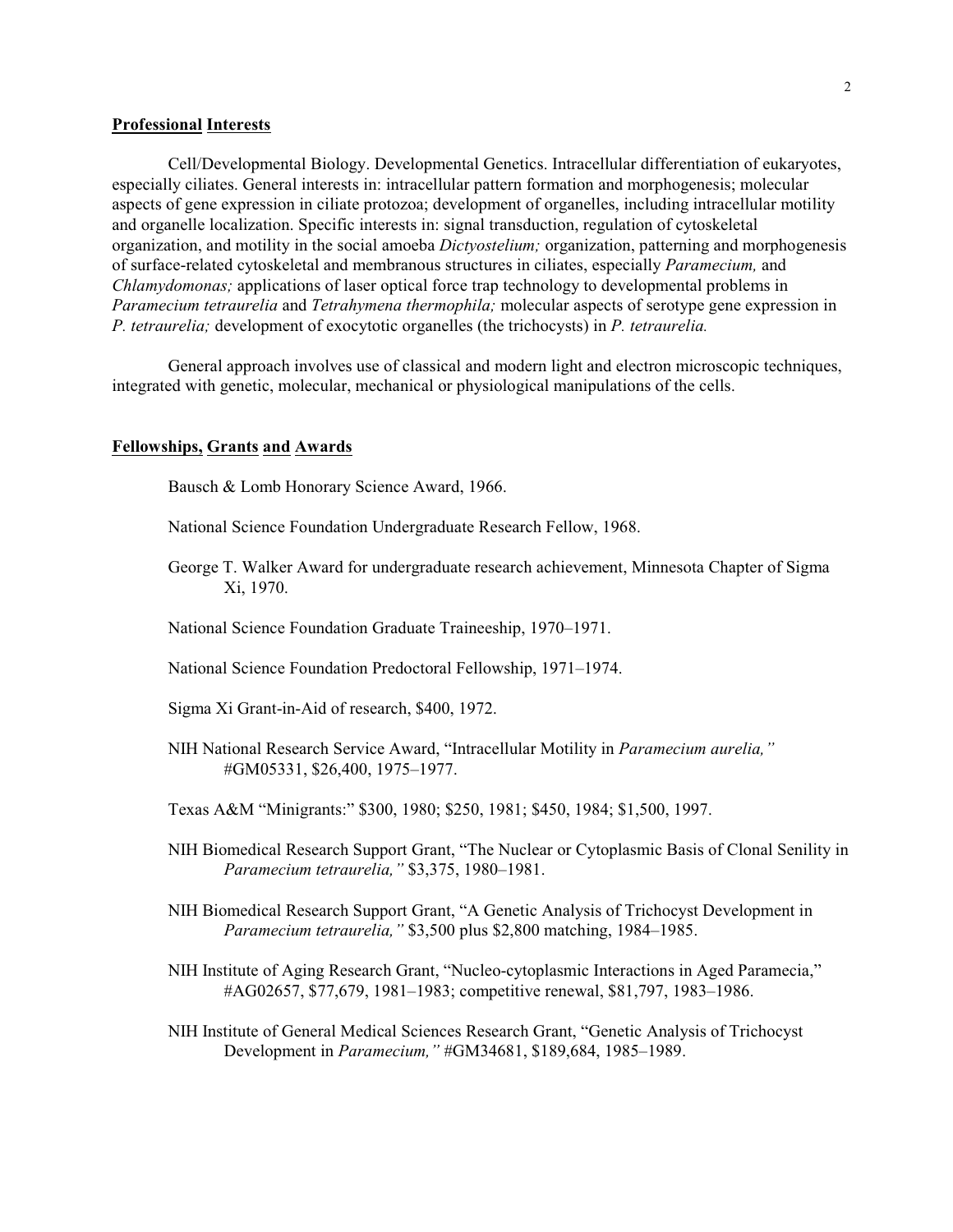# **Professional Interests**

Cell/Developmental Biology. Developmental Genetics. Intracellular differentiation of eukaryotes, especially ciliates. General interests in: intracellular pattern formation and morphogenesis; molecular aspects of gene expression in ciliate protozoa; development of organelles, including intracellular motility and organelle localization. Specific interests in: signal transduction, regulation of cytoskeletal organization, and motility in the social amoeba *Dictyostelium;* organization, patterning and morphogenesis of surface-related cytoskeletal and membranous structures in ciliates, especially *Paramecium,* and *Chlamydomonas;* applications of laser optical force trap technology to developmental problems in *Paramecium tetraurelia* and *Tetrahymena thermophila;* molecular aspects of serotype gene expression in *P. tetraurelia;* development of exocytotic organelles (the trichocysts) in *P. tetraurelia.*

General approach involves use of classical and modern light and electron microscopic techniques, integrated with genetic, molecular, mechanical or physiological manipulations of the cells.

#### **Fellowships, Grants and Awards**

Bausch & Lomb Honorary Science Award, 1966.

National Science Foundation Undergraduate Research Fellow, 1968.

- George T. Walker Award for undergraduate research achievement, Minnesota Chapter of Sigma Xi, 1970.
- National Science Foundation Graduate Traineeship, 1970–1971.
- National Science Foundation Predoctoral Fellowship, 1971–1974.

Sigma Xi Grant-in-Aid of research, \$400, 1972.

- NIH National Research Service Award, "Intracellular Motility in *Paramecium aurelia,"* #GM05331, \$26,400, 1975–1977.
- Texas A&M "Minigrants:" \$300, 1980; \$250, 1981; \$450, 1984; \$1,500, 1997.
- NIH Biomedical Research Support Grant, "The Nuclear or Cytoplasmic Basis of Clonal Senility in *Paramecium tetraurelia,"* \$3,375, 1980–1981.
- NIH Biomedical Research Support Grant, "A Genetic Analysis of Trichocyst Development in *Paramecium tetraurelia,"* \$3,500 plus \$2,800 matching, 1984–1985.
- NIH Institute of Aging Research Grant, "Nucleo-cytoplasmic Interactions in Aged Paramecia," #AG02657, \$77,679, 1981–1983; competitive renewal, \$81,797, 1983–1986.
- NIH Institute of General Medical Sciences Research Grant, "Genetic Analysis of Trichocyst Development in *Paramecium,"* #GM34681, \$189,684, 1985–1989.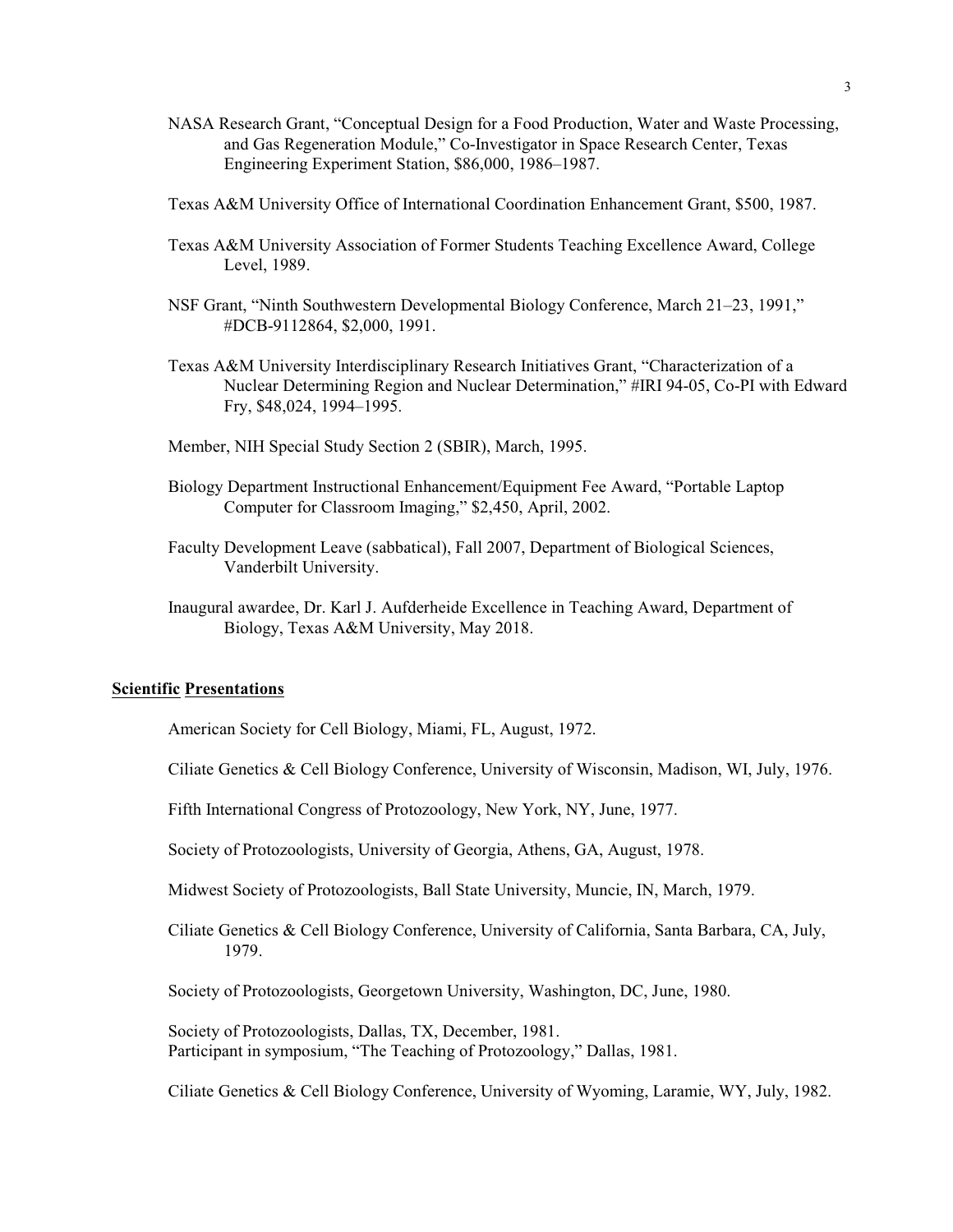- NASA Research Grant, "Conceptual Design for a Food Production, Water and Waste Processing, and Gas Regeneration Module," Co-Investigator in Space Research Center, Texas Engineering Experiment Station, \$86,000, 1986–1987.
- Texas A&M University Office of International Coordination Enhancement Grant, \$500, 1987.
- Texas A&M University Association of Former Students Teaching Excellence Award, College Level, 1989.
- NSF Grant, "Ninth Southwestern Developmental Biology Conference, March 21–23, 1991," #DCB-9112864, \$2,000, 1991.
- Texas A&M University Interdisciplinary Research Initiatives Grant, "Characterization of a Nuclear Determining Region and Nuclear Determination," #IRI 94-05, Co-PI with Edward Fry, \$48,024, 1994–1995.
- Member, NIH Special Study Section 2 (SBIR), March, 1995.
- Biology Department Instructional Enhancement/Equipment Fee Award, "Portable Laptop Computer for Classroom Imaging," \$2,450, April, 2002.
- Faculty Development Leave (sabbatical), Fall 2007, Department of Biological Sciences, Vanderbilt University.
- Inaugural awardee, Dr. Karl J. Aufderheide Excellence in Teaching Award, Department of Biology, Texas A&M University, May 2018.

# **Scientific Presentations**

American Society for Cell Biology, Miami, FL, August, 1972.

- Ciliate Genetics & Cell Biology Conference, University of Wisconsin, Madison, WI, July, 1976.
- Fifth International Congress of Protozoology, New York, NY, June, 1977.
- Society of Protozoologists, University of Georgia, Athens, GA, August, 1978.
- Midwest Society of Protozoologists, Ball State University, Muncie, IN, March, 1979.
- Ciliate Genetics & Cell Biology Conference, University of California, Santa Barbara, CA, July, 1979.

Society of Protozoologists, Georgetown University, Washington, DC, June, 1980.

Society of Protozoologists, Dallas, TX, December, 1981. Participant in symposium, "The Teaching of Protozoology," Dallas, 1981.

Ciliate Genetics & Cell Biology Conference, University of Wyoming, Laramie, WY, July, 1982.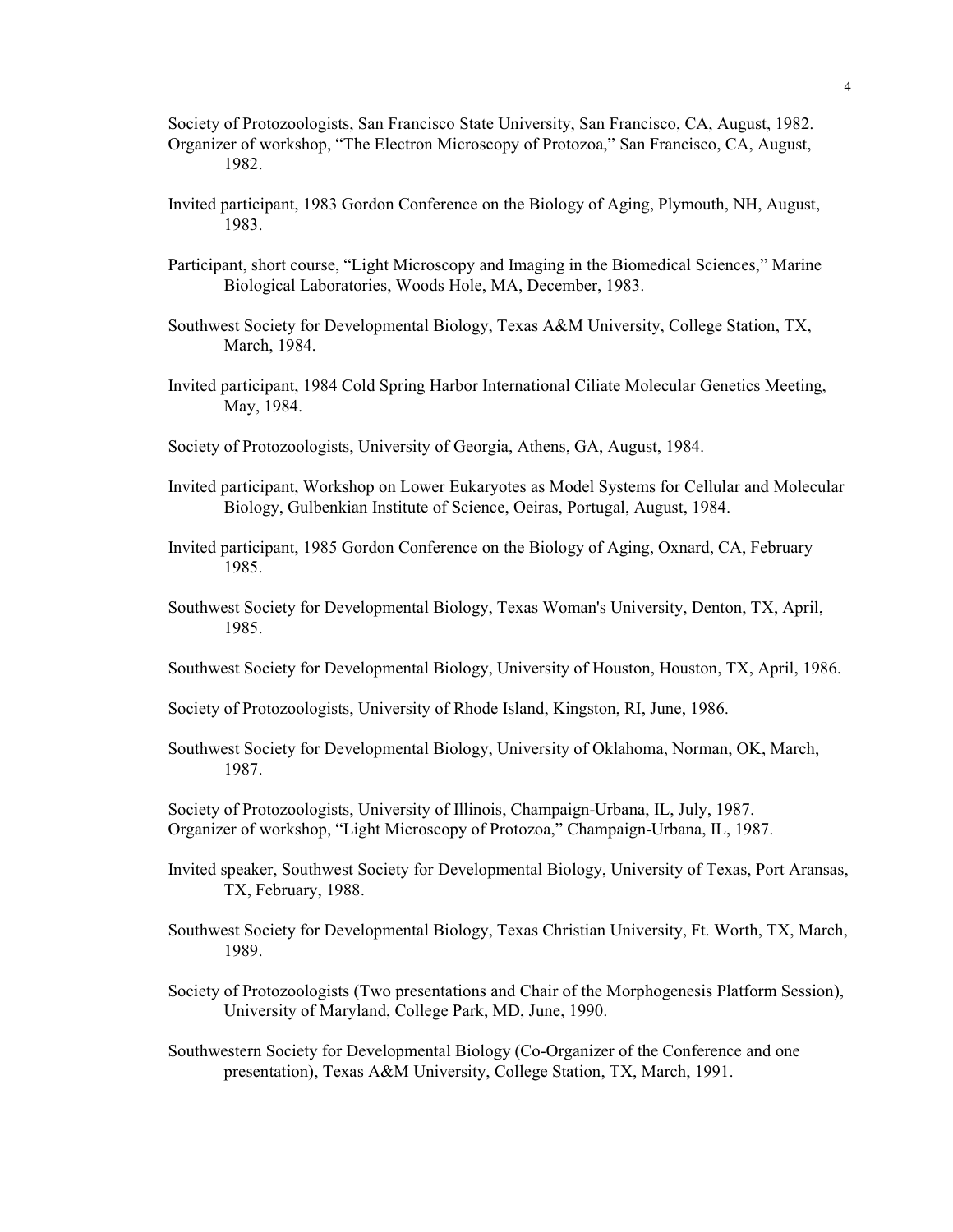Society of Protozoologists, San Francisco State University, San Francisco, CA, August, 1982. Organizer of workshop, "The Electron Microscopy of Protozoa," San Francisco, CA, August, 1982.

- Invited participant, 1983 Gordon Conference on the Biology of Aging, Plymouth, NH, August, 1983.
- Participant, short course, "Light Microscopy and Imaging in the Biomedical Sciences," Marine Biological Laboratories, Woods Hole, MA, December, 1983.
- Southwest Society for Developmental Biology, Texas A&M University, College Station, TX, March, 1984.
- Invited participant, 1984 Cold Spring Harbor International Ciliate Molecular Genetics Meeting, May, 1984.
- Society of Protozoologists, University of Georgia, Athens, GA, August, 1984.
- Invited participant, Workshop on Lower Eukaryotes as Model Systems for Cellular and Molecular Biology, Gulbenkian Institute of Science, Oeiras, Portugal, August, 1984.
- Invited participant, 1985 Gordon Conference on the Biology of Aging, Oxnard, CA, February 1985.
- Southwest Society for Developmental Biology, Texas Woman's University, Denton, TX, April, 1985.
- Southwest Society for Developmental Biology, University of Houston, Houston, TX, April, 1986.
- Society of Protozoologists, University of Rhode Island, Kingston, RI, June, 1986.
- Southwest Society for Developmental Biology, University of Oklahoma, Norman, OK, March, 1987.

Society of Protozoologists, University of Illinois, Champaign-Urbana, IL, July, 1987. Organizer of workshop, "Light Microscopy of Protozoa," Champaign-Urbana, IL, 1987.

- Invited speaker, Southwest Society for Developmental Biology, University of Texas, Port Aransas, TX, February, 1988.
- Southwest Society for Developmental Biology, Texas Christian University, Ft. Worth, TX, March, 1989.
- Society of Protozoologists (Two presentations and Chair of the Morphogenesis Platform Session), University of Maryland, College Park, MD, June, 1990.
- Southwestern Society for Developmental Biology (Co-Organizer of the Conference and one presentation), Texas A&M University, College Station, TX, March, 1991.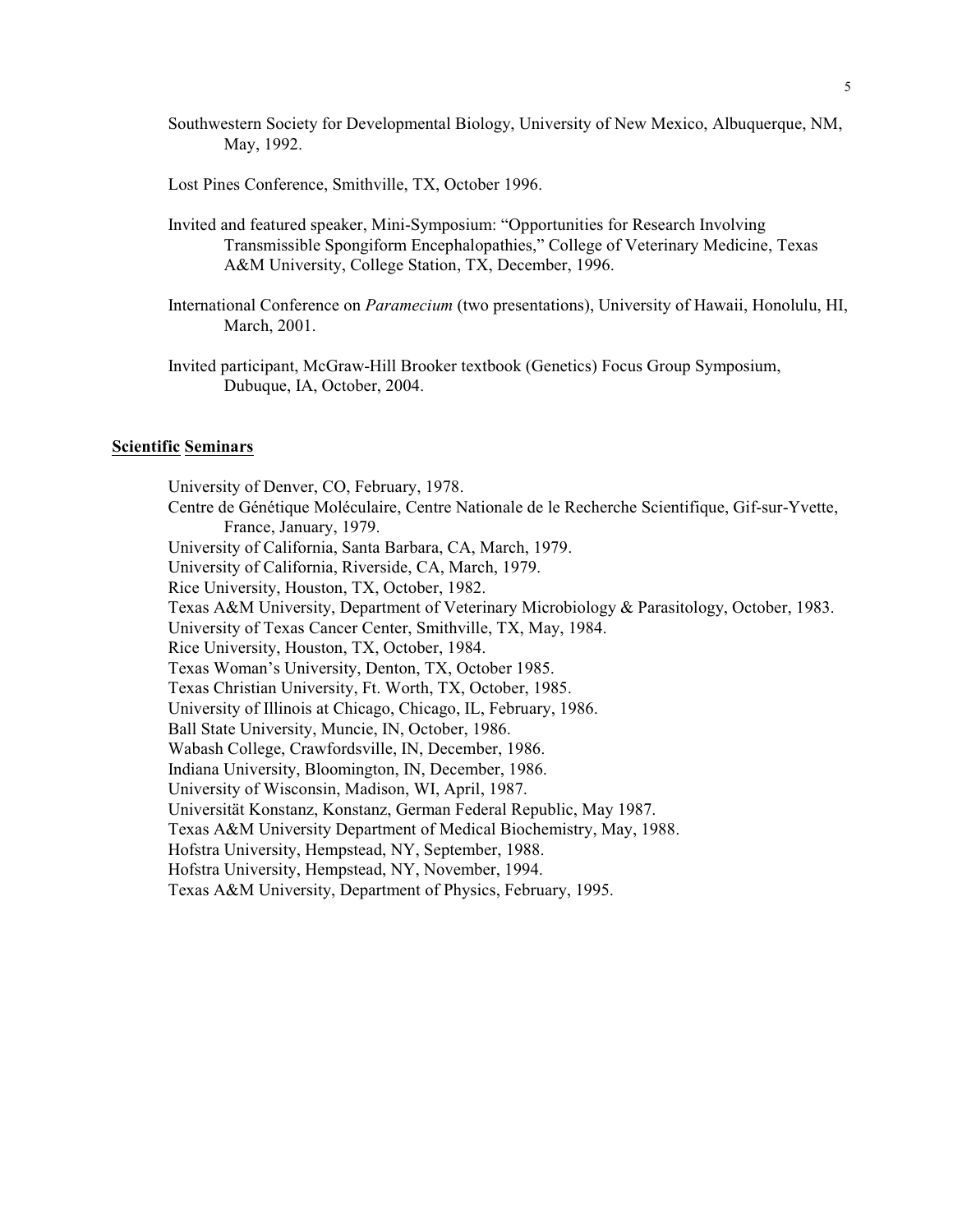- Southwestern Society for Developmental Biology, University of New Mexico, Albuquerque, NM, May, 1992.
- Lost Pines Conference, Smithville, TX, October 1996.
- Invited and featured speaker, Mini-Symposium: "Opportunities for Research Involving Transmissible Spongiform Encephalopathies," College of Veterinary Medicine, Texas A&M University, College Station, TX, December, 1996.
- International Conference on *Paramecium* (two presentations), University of Hawaii, Honolulu, HI, March, 2001.
- Invited participant, McGraw-Hill Brooker textbook (Genetics) Focus Group Symposium, Dubuque, IA, October, 2004.

## **Scientific Seminars**

University of Denver, CO, February, 1978. Centre de Génétique Moléculaire, Centre Nationale de le Recherche Scientifique, Gif-sur-Yvette, France, January, 1979. University of California, Santa Barbara, CA, March, 1979. University of California, Riverside, CA, March, 1979. Rice University, Houston, TX, October, 1982. Texas A&M University, Department of Veterinary Microbiology & Parasitology, October, 1983. University of Texas Cancer Center, Smithville, TX, May, 1984. Rice University, Houston, TX, October, 1984. Texas Woman's University, Denton, TX, October 1985. Texas Christian University, Ft. Worth, TX, October, 1985. University of Illinois at Chicago, Chicago, IL, February, 1986. Ball State University, Muncie, IN, October, 1986. Wabash College, Crawfordsville, IN, December, 1986. Indiana University, Bloomington, IN, December, 1986. University of Wisconsin, Madison, WI, April, 1987. Universität Konstanz, Konstanz, German Federal Republic, May 1987. Texas A&M University Department of Medical Biochemistry, May, 1988. Hofstra University, Hempstead, NY, September, 1988. Hofstra University, Hempstead, NY, November, 1994. Texas A&M University, Department of Physics, February, 1995.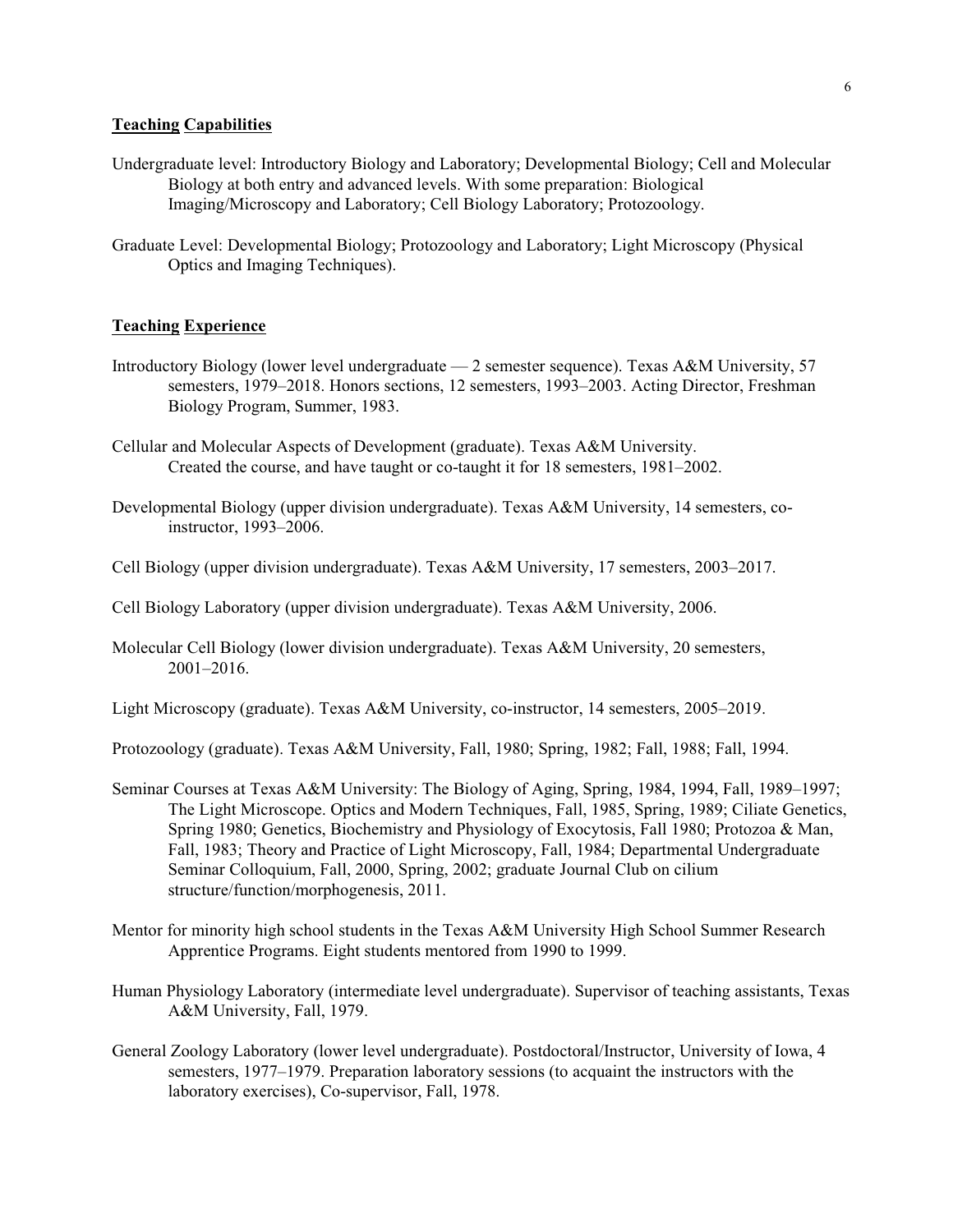# **Teaching Capabilities**

- Undergraduate level: Introductory Biology and Laboratory; Developmental Biology; Cell and Molecular Biology at both entry and advanced levels. With some preparation: Biological Imaging/Microscopy and Laboratory; Cell Biology Laboratory; Protozoology.
- Graduate Level: Developmental Biology; Protozoology and Laboratory; Light Microscopy (Physical Optics and Imaging Techniques).

# **Teaching Experience**

- Introductory Biology (lower level undergraduate 2 semester sequence). Texas A&M University, 57 semesters, 1979–2018. Honors sections, 12 semesters, 1993–2003. Acting Director, Freshman Biology Program, Summer, 1983.
- Cellular and Molecular Aspects of Development (graduate). Texas A&M University. Created the course, and have taught or co-taught it for 18 semesters, 1981–2002.
- Developmental Biology (upper division undergraduate). Texas A&M University, 14 semesters, coinstructor, 1993–2006.
- Cell Biology (upper division undergraduate). Texas A&M University, 17 semesters, 2003–2017.
- Cell Biology Laboratory (upper division undergraduate). Texas A&M University, 2006.
- Molecular Cell Biology (lower division undergraduate). Texas A&M University, 20 semesters, 2001–2016.

Light Microscopy (graduate). Texas A&M University, co-instructor, 14 semesters, 2005–2019.

Protozoology (graduate). Texas A&M University, Fall, 1980; Spring, 1982; Fall, 1988; Fall, 1994.

- Seminar Courses at Texas A&M University: The Biology of Aging, Spring, 1984, 1994, Fall, 1989–1997; The Light Microscope. Optics and Modern Techniques, Fall, 1985, Spring, 1989; Ciliate Genetics, Spring 1980; Genetics, Biochemistry and Physiology of Exocytosis, Fall 1980; Protozoa & Man, Fall, 1983; Theory and Practice of Light Microscopy, Fall, 1984; Departmental Undergraduate Seminar Colloquium, Fall, 2000, Spring, 2002; graduate Journal Club on cilium structure/function/morphogenesis, 2011.
- Mentor for minority high school students in the Texas A&M University High School Summer Research Apprentice Programs. Eight students mentored from 1990 to 1999.
- Human Physiology Laboratory (intermediate level undergraduate). Supervisor of teaching assistants, Texas A&M University, Fall, 1979.
- General Zoology Laboratory (lower level undergraduate). Postdoctoral/Instructor, University of Iowa, 4 semesters, 1977–1979. Preparation laboratory sessions (to acquaint the instructors with the laboratory exercises), Co-supervisor, Fall, 1978.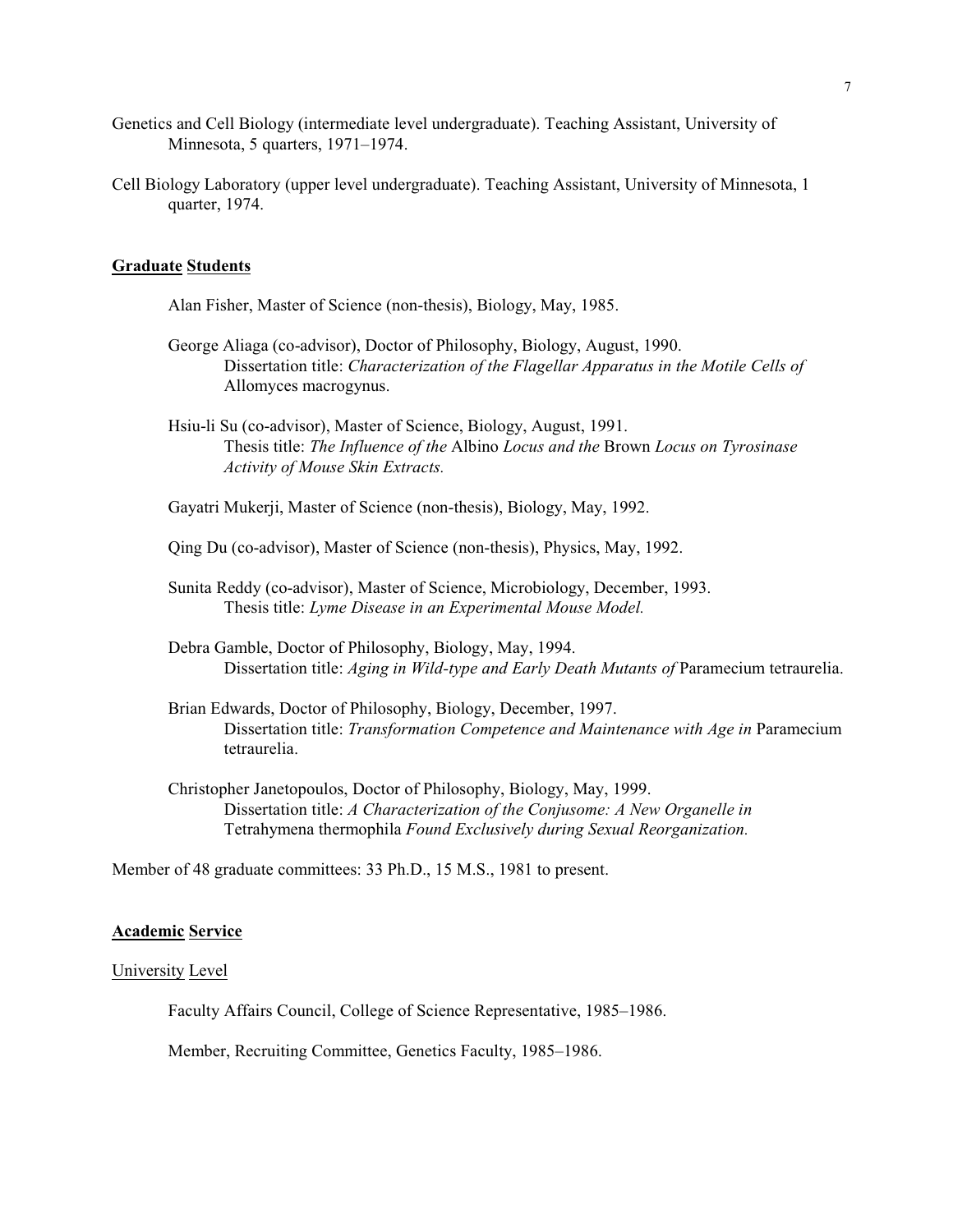- Genetics and Cell Biology (intermediate level undergraduate). Teaching Assistant, University of Minnesota, 5 quarters, 1971–1974.
- Cell Biology Laboratory (upper level undergraduate). Teaching Assistant, University of Minnesota, 1 quarter, 1974.

# **Graduate Students**

- Alan Fisher, Master of Science (non-thesis), Biology, May, 1985.
- George Aliaga (co-advisor), Doctor of Philosophy, Biology, August, 1990. Dissertation title: *Characterization of the Flagellar Apparatus in the Motile Cells of* Allomyces macrogynus.
- Hsiu-li Su (co-advisor), Master of Science, Biology, August, 1991. Thesis title: *The Influence of the* Albino *Locus and the* Brown *Locus on Tyrosinase Activity of Mouse Skin Extracts.*

Gayatri Mukerji, Master of Science (non-thesis), Biology, May, 1992.

Qing Du (co-advisor), Master of Science (non-thesis), Physics, May, 1992.

- Sunita Reddy (co-advisor), Master of Science, Microbiology, December, 1993. Thesis title: *Lyme Disease in an Experimental Mouse Model.*
- Debra Gamble, Doctor of Philosophy, Biology, May, 1994. Dissertation title: *Aging in Wild-type and Early Death Mutants of* Paramecium tetraurelia.
- Brian Edwards, Doctor of Philosophy, Biology, December, 1997. Dissertation title: *Transformation Competence and Maintenance with Age in* Paramecium tetraurelia.
- Christopher Janetopoulos, Doctor of Philosophy, Biology, May, 1999. Dissertation title: *A Characterization of the Conjusome: A New Organelle in*  Tetrahymena thermophila *Found Exclusively during Sexual Reorganization.*

Member of 48 graduate committees: 33 Ph.D., 15 M.S., 1981 to present.

#### **Academic Service**

#### University Level

Faculty Affairs Council, College of Science Representative, 1985–1986.

Member, Recruiting Committee, Genetics Faculty, 1985–1986.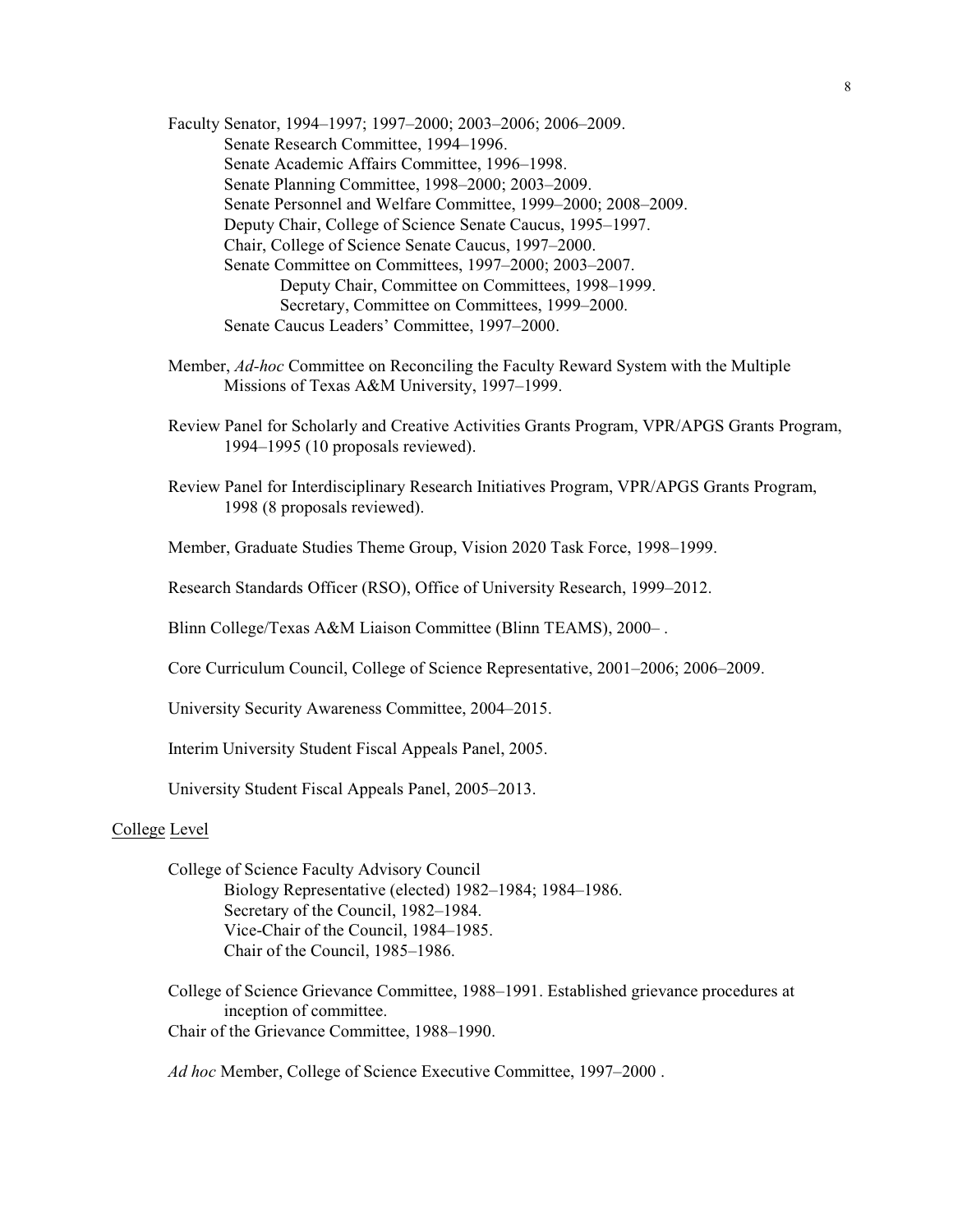Faculty Senator, 1994–1997; 1997–2000; 2003–2006; 2006–2009. Senate Research Committee, 1994–1996. Senate Academic Affairs Committee, 1996–1998. Senate Planning Committee, 1998–2000; 2003–2009. Senate Personnel and Welfare Committee, 1999–2000; 2008–2009. Deputy Chair, College of Science Senate Caucus, 1995–1997. Chair, College of Science Senate Caucus, 1997–2000. Senate Committee on Committees, 1997–2000; 2003–2007. Deputy Chair, Committee on Committees, 1998–1999. Secretary, Committee on Committees, 1999–2000. Senate Caucus Leaders' Committee, 1997–2000.

- Member, *Ad-hoc* Committee on Reconciling the Faculty Reward System with the Multiple Missions of Texas A&M University, 1997–1999.
- Review Panel for Scholarly and Creative Activities Grants Program, VPR/APGS Grants Program, 1994–1995 (10 proposals reviewed).
- Review Panel for Interdisciplinary Research Initiatives Program, VPR/APGS Grants Program, 1998 (8 proposals reviewed).

Member, Graduate Studies Theme Group, Vision 2020 Task Force, 1998–1999.

Research Standards Officer (RSO), Office of University Research, 1999–2012.

Blinn College/Texas A&M Liaison Committee (Blinn TEAMS), 2000– .

Core Curriculum Council, College of Science Representative, 2001–2006; 2006–2009.

University Security Awareness Committee, 2004–2015.

Interim University Student Fiscal Appeals Panel, 2005.

University Student Fiscal Appeals Panel, 2005–2013.

# College Level

College of Science Faculty Advisory Council Biology Representative (elected) 1982–1984; 1984–1986. Secretary of the Council, 1982–1984. Vice-Chair of the Council, 1984–1985. Chair of the Council, 1985–1986.

College of Science Grievance Committee, 1988–1991. Established grievance procedures at inception of committee. Chair of the Grievance Committee, 1988–1990.

*Ad hoc* Member, College of Science Executive Committee, 1997–2000 .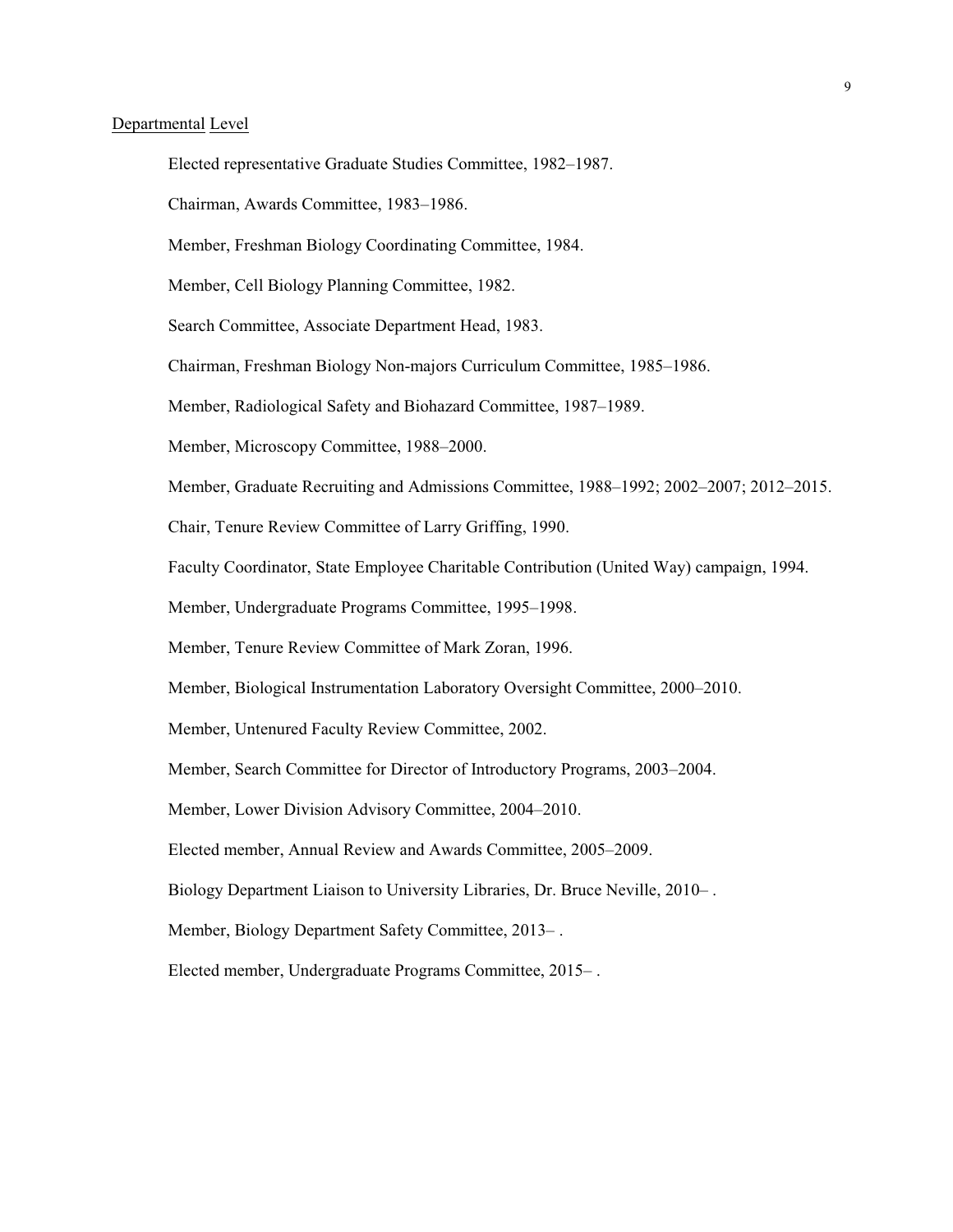# Departmental Level

- Elected representative Graduate Studies Committee, 1982–1987.
- Chairman, Awards Committee, 1983–1986.
- Member, Freshman Biology Coordinating Committee, 1984.
- Member, Cell Biology Planning Committee, 1982.
- Search Committee, Associate Department Head, 1983.
- Chairman, Freshman Biology Non-majors Curriculum Committee, 1985–1986.
- Member, Radiological Safety and Biohazard Committee, 1987–1989.
- Member, Microscopy Committee, 1988–2000.
- Member, Graduate Recruiting and Admissions Committee, 1988–1992; 2002–2007; 2012–2015.
- Chair, Tenure Review Committee of Larry Griffing, 1990.
- Faculty Coordinator, State Employee Charitable Contribution (United Way) campaign, 1994.
- Member, Undergraduate Programs Committee, 1995–1998.
- Member, Tenure Review Committee of Mark Zoran, 1996.
- Member, Biological Instrumentation Laboratory Oversight Committee, 2000–2010.
- Member, Untenured Faculty Review Committee, 2002.
- Member, Search Committee for Director of Introductory Programs, 2003–2004.
- Member, Lower Division Advisory Committee, 2004–2010.
- Elected member, Annual Review and Awards Committee, 2005–2009.
- Biology Department Liaison to University Libraries, Dr. Bruce Neville, 2010– .
- Member, Biology Department Safety Committee, 2013– .
- Elected member, Undergraduate Programs Committee, 2015– .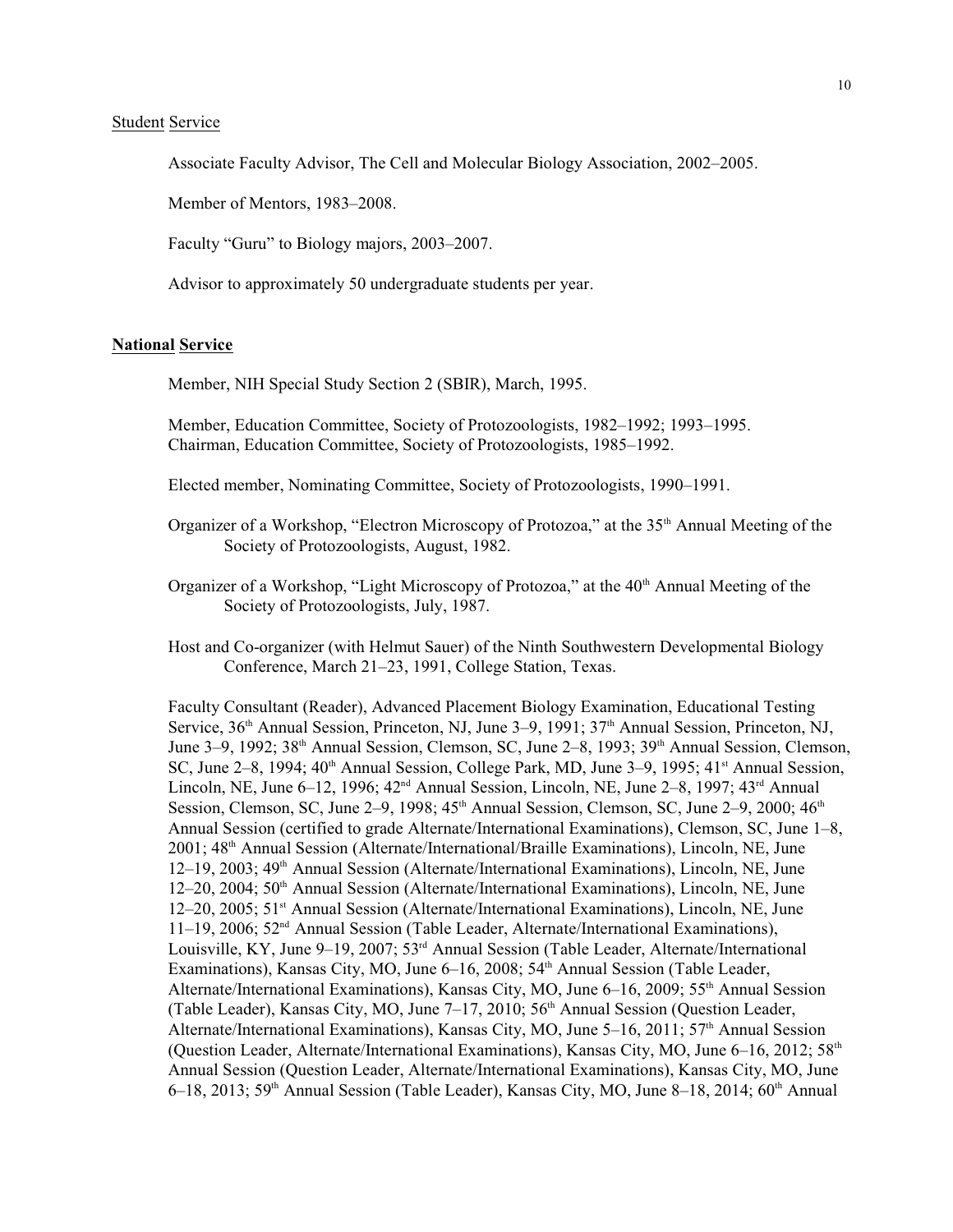# Student Service

Associate Faculty Advisor, The Cell and Molecular Biology Association, 2002–2005.

Member of Mentors, 1983–2008.

Faculty "Guru" to Biology majors, 2003–2007.

Advisor to approximately 50 undergraduate students per year.

#### **National Service**

Member, NIH Special Study Section 2 (SBIR), March, 1995.

Member, Education Committee, Society of Protozoologists, 1982–1992; 1993–1995. Chairman, Education Committee, Society of Protozoologists, 1985–1992.

Elected member, Nominating Committee, Society of Protozoologists, 1990–1991.

- Organizer of a Workshop, "Electron Microscopy of Protozoa," at the 35<sup>th</sup> Annual Meeting of the Society of Protozoologists, August, 1982.
- Organizer of a Workshop, "Light Microscopy of Protozoa," at the 40<sup>th</sup> Annual Meeting of the Society of Protozoologists, July, 1987.
- Host and Co-organizer (with Helmut Sauer) of the Ninth Southwestern Developmental Biology Conference, March 21–23, 1991, College Station, Texas.

Faculty Consultant (Reader), Advanced Placement Biology Examination, Educational Testing Service, 36<sup>th</sup> Annual Session, Princeton, NJ, June 3–9, 1991; 37<sup>th</sup> Annual Session, Princeton, NJ, June 3–9, 1992; 38<sup>th</sup> Annual Session, Clemson, SC, June 2–8, 1993; 39<sup>th</sup> Annual Session, Clemson, SC, June 2–8, 1994;  $40<sup>th</sup>$  Annual Session, College Park, MD, June 3–9, 1995;  $41<sup>st</sup>$  Annual Session, Lincoln, NE, June 6–12, 1996;  $42<sup>nd</sup>$  Annual Session, Lincoln, NE, June 2–8, 1997;  $43<sup>rd</sup>$  Annual Session, Clemson, SC, June 2–9, 1998;  $45<sup>th</sup>$  Annual Session, Clemson, SC, June 2–9, 2000;  $46<sup>th</sup>$ Annual Session (certified to grade Alternate/International Examinations), Clemson, SC, June 1–8, 2001; 48<sup>th</sup> Annual Session (Alternate/International/Braille Examinations), Lincoln, NE, June 12–19, 2003; 49<sup>th</sup> Annual Session (Alternate/International Examinations), Lincoln, NE, June 12–20, 2004; 50<sup>th</sup> Annual Session (Alternate/International Examinations), Lincoln, NE, June 12–20, 2005; 51<sup>st</sup> Annual Session (Alternate/International Examinations), Lincoln, NE, June 11-19, 2006; 52<sup>nd</sup> Annual Session (Table Leader, Alternate/International Examinations), Louisville, KY, June 9–19, 2007; 53<sup>rd</sup> Annual Session (Table Leader, Alternate/International Examinations), Kansas City, MO, June  $6-16$ , 2008;  $54<sup>th</sup>$  Annual Session (Table Leader, Alternate/International Examinations), Kansas City, MO, June  $6-16$ , 2009;  $55<sup>th</sup>$  Annual Session (Table Leader), Kansas City, MO, June 7-17, 2010; 56<sup>th</sup> Annual Session (Question Leader, Alternate/International Examinations), Kansas City, MO, June  $5-16$ , 2011;  $57<sup>th</sup>$  Annual Session (Question Leader, Alternate/International Examinations), Kansas City, MO, June  $6-16$ , 2012;  $58<sup>th</sup>$ Annual Session (Question Leader, Alternate/International Examinations), Kansas City, MO, June 6–18, 2013; 59<sup>th</sup> Annual Session (Table Leader), Kansas City, MO, June 8–18, 2014; 60<sup>th</sup> Annual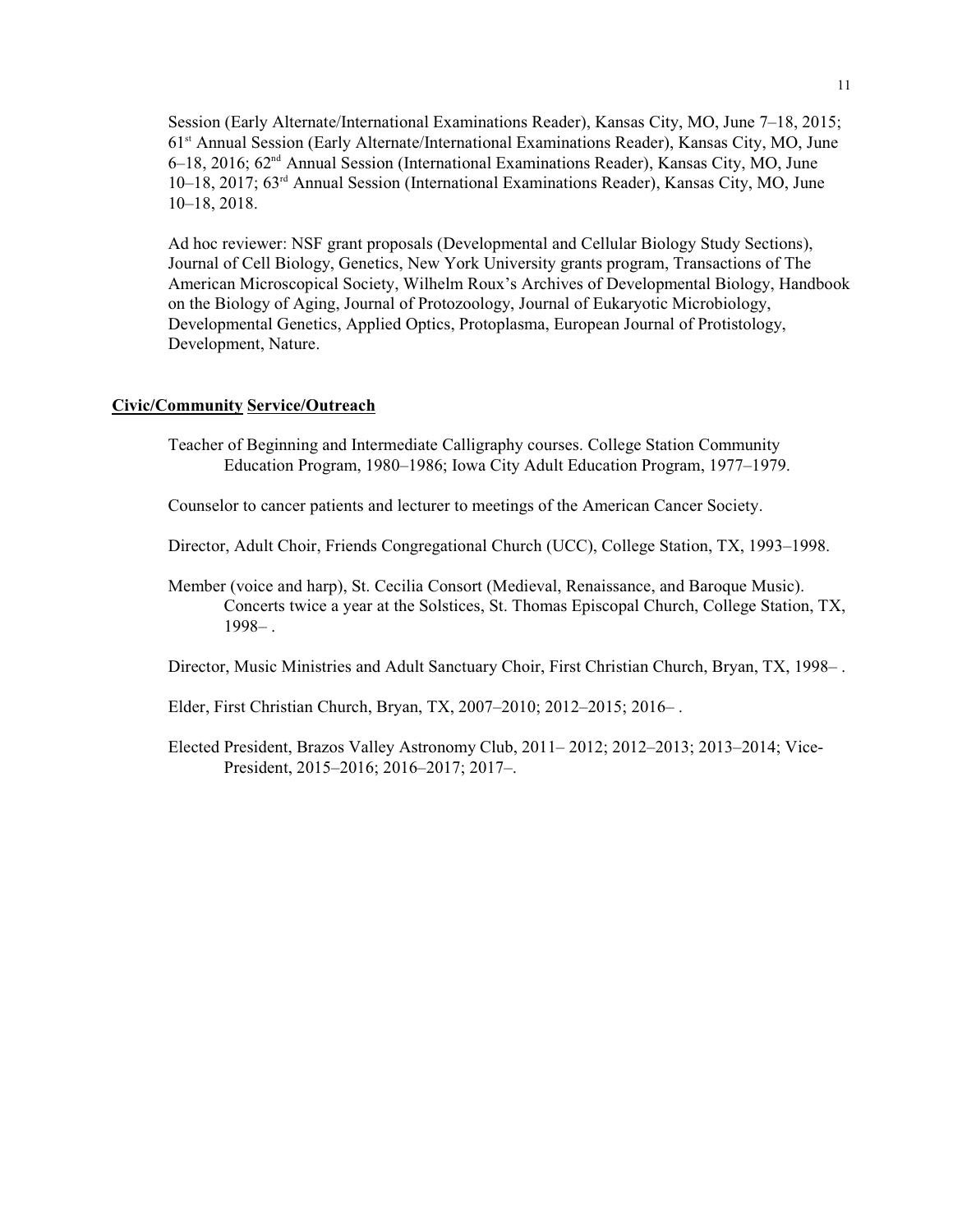Session (Early Alternate/International Examinations Reader), Kansas City, MO, June 7–18, 2015; 61<sup>st</sup> Annual Session (Early Alternate/International Examinations Reader), Kansas City, MO, June 6–18, 2016; 62<sup>nd</sup> Annual Session (International Examinations Reader), Kansas City, MO, June 10–18, 2017; 63<sup>rd</sup> Annual Session (International Examinations Reader), Kansas City, MO, June 10–18, 2018.

Ad hoc reviewer: NSF grant proposals (Developmental and Cellular Biology Study Sections), Journal of Cell Biology, Genetics, New York University grants program, Transactions of The American Microscopical Society, Wilhelm Roux's Archives of Developmental Biology, Handbook on the Biology of Aging, Journal of Protozoology, Journal of Eukaryotic Microbiology, Developmental Genetics, Applied Optics, Protoplasma, European Journal of Protistology, Development, Nature.

# **Civic/Community Service/Outreach**

Teacher of Beginning and Intermediate Calligraphy courses. College Station Community Education Program, 1980–1986; Iowa City Adult Education Program, 1977–1979.

Counselor to cancer patients and lecturer to meetings of the American Cancer Society.

- Director, Adult Choir, Friends Congregational Church (UCC), College Station, TX, 1993–1998.
- Member (voice and harp), St. Cecilia Consort (Medieval, Renaissance, and Baroque Music). Concerts twice a year at the Solstices, St. Thomas Episcopal Church, College Station, TX, 1998– .

Director, Music Ministries and Adult Sanctuary Choir, First Christian Church, Bryan, TX, 1998– .

Elder, First Christian Church, Bryan, TX, 2007–2010; 2012–2015; 2016– .

Elected President, Brazos Valley Astronomy Club, 2011– 2012; 2012–2013; 2013–2014; Vice-President, 2015–2016; 2016–2017; 2017–.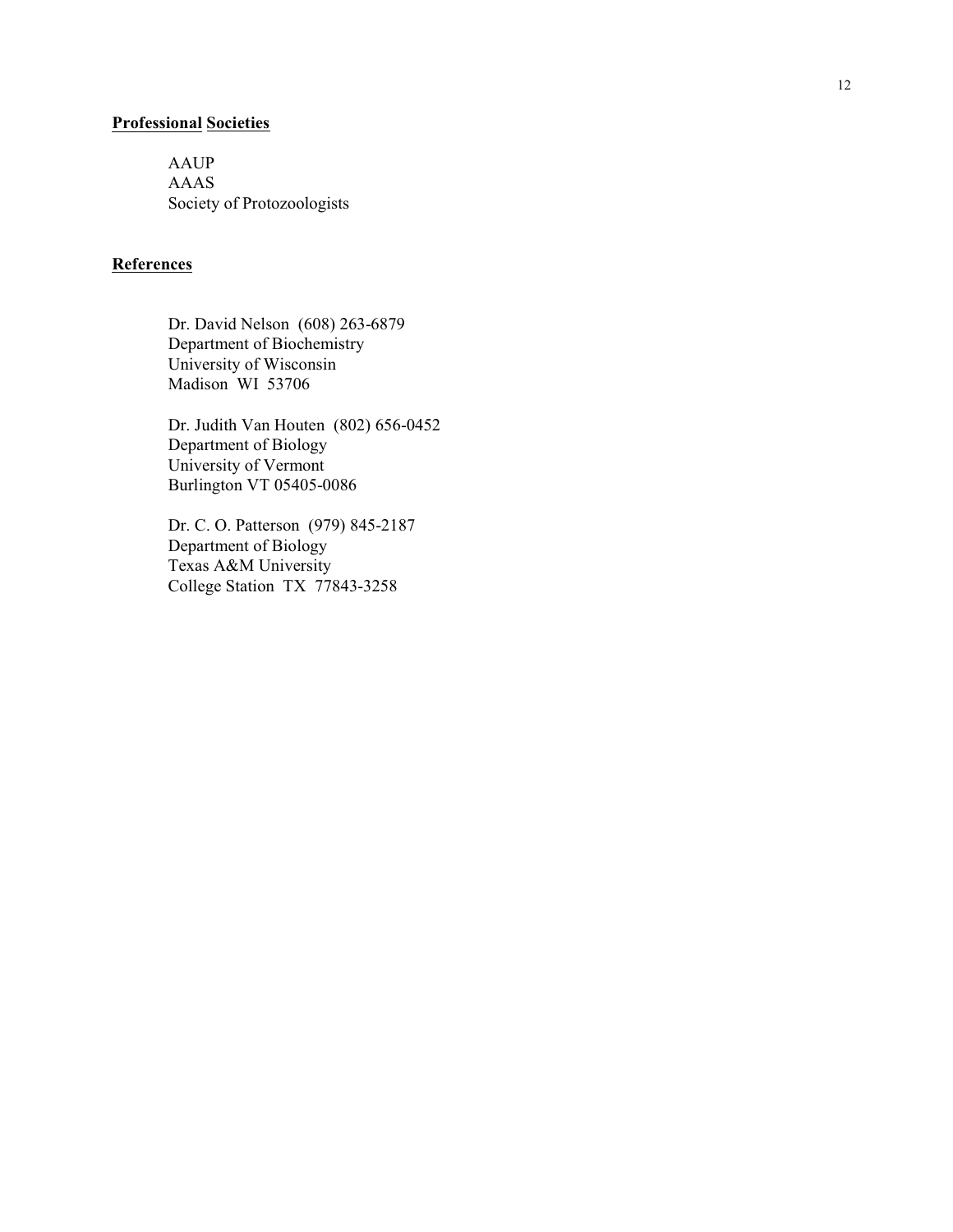#### **Professional Societie s**

AAUP AAAS Society of Protozoologists

#### **Reference s**

Dr. David Nelson (608) 263 -6879 Depart ment of Bioche mistr y University of Wisconsi n Madison W I 53706

Dr. Judith Van Houten (802) 656 -0452 Depart ment of Biology University of Ver mont Burlington V T 05405-0086

Dr. C. O. Patterson (979) 845 -2187 Depart ment of Biology Texas A&M University College Station T X 77843-3258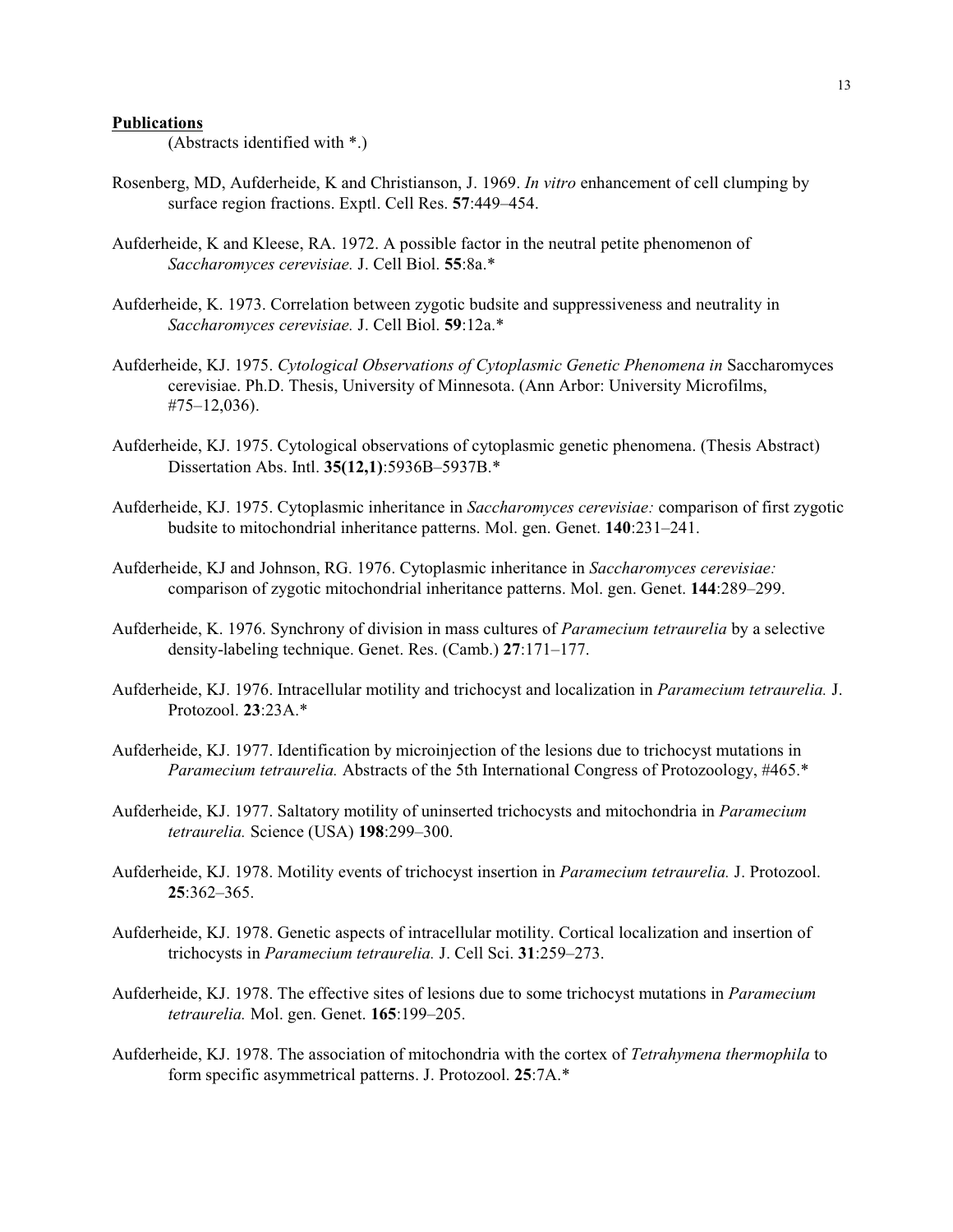#### **Publications**

(Abstracts identified with \*.)

- Rosenberg, MD, Aufderheide, K and Christianson, J. 1969. *In vitro* enhancement of cell clumping by surface region fractions. Exptl. Cell Res. **57**:449–454.
- Aufderheide, K and Kleese, RA. 1972. A possible factor in the neutral petite phenomenon of *Saccharomyces cerevisiae.* J. Cell Biol. **55**:8a.\*
- Aufderheide, K. 1973. Correlation between zygotic budsite and suppressiveness and neutrality in *Saccharomyces cerevisiae.* J. Cell Biol. **59**:12a.\*
- Aufderheide, KJ. 1975. *Cytological Observations of Cytoplasmic Genetic Phenomena in* Saccharomyces cerevisiae. Ph.D. Thesis, University of Minnesota. (Ann Arbor: University Microfilms, #75–12,036).
- Aufderheide, KJ. 1975. Cytological observations of cytoplasmic genetic phenomena. (Thesis Abstract) Dissertation Abs. Intl. **35(12,1)**:5936B–5937B.\*
- Aufderheide, KJ. 1975. Cytoplasmic inheritance in *Saccharomyces cerevisiae:* comparison of first zygotic budsite to mitochondrial inheritance patterns. Mol. gen. Genet. **140**:231–241.
- Aufderheide, KJ and Johnson, RG. 1976. Cytoplasmic inheritance in *Saccharomyces cerevisiae:* comparison of zygotic mitochondrial inheritance patterns. Mol. gen. Genet. **144**:289–299.
- Aufderheide, K. 1976. Synchrony of division in mass cultures of *Paramecium tetraurelia* by a selective density-labeling technique. Genet. Res. (Camb.) **27**:171–177.
- Aufderheide, KJ. 1976. Intracellular motility and trichocyst and localization in *Paramecium tetraurelia.* J. Protozool. **23**:23A.\*
- Aufderheide, KJ. 1977. Identification by microinjection of the lesions due to trichocyst mutations in *Paramecium tetraurelia.* Abstracts of the 5th International Congress of Protozoology, #465.\*
- Aufderheide, KJ. 1977. Saltatory motility of uninserted trichocysts and mitochondria in *Paramecium tetraurelia.* Science (USA) **198**:299–300.
- Aufderheide, KJ. 1978. Motility events of trichocyst insertion in *Paramecium tetraurelia.* J. Protozool. **25**:362–365.
- Aufderheide, KJ. 1978. Genetic aspects of intracellular motility. Cortical localization and insertion of trichocysts in *Paramecium tetraurelia.* J. Cell Sci. **31**:259–273.
- Aufderheide, KJ. 1978. The effective sites of lesions due to some trichocyst mutations in *Paramecium tetraurelia.* Mol. gen. Genet. **165**:199–205.
- Aufderheide, KJ. 1978. The association of mitochondria with the cortex of *Tetrahymena thermophila* to form specific asymmetrical patterns. J. Protozool. **25**:7A.\*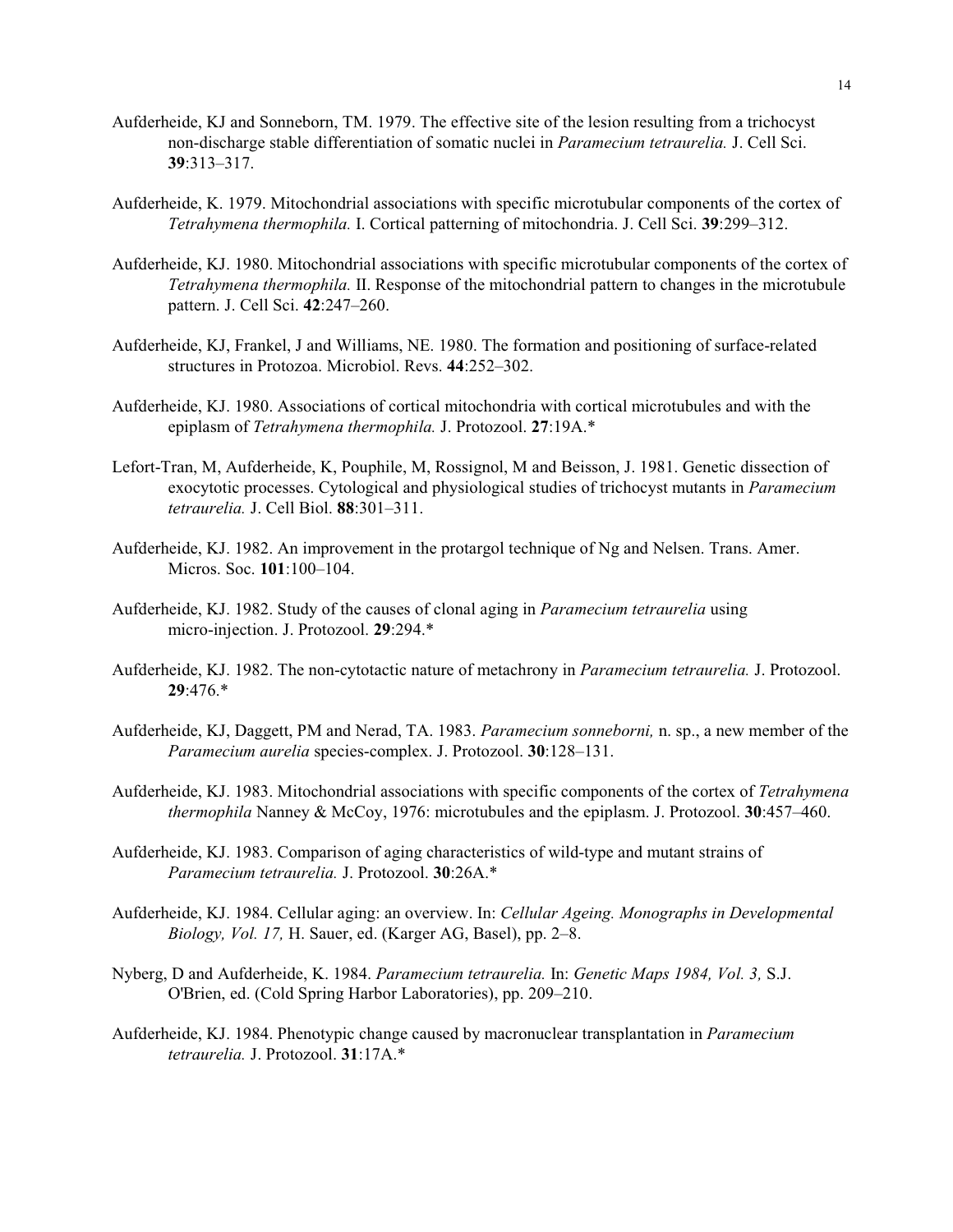- Aufderheide, KJ and Sonneborn, TM. 1979. The effective site of the lesion resulting from a trichocyst non-discharge stable differentiation of somatic nuclei in *Paramecium tetraurelia.* J. Cell Sci. **39**:313–317.
- Aufderheide, K. 1979. Mitochondrial associations with specific microtubular components of the cortex of *Tetrahymena thermophila.* I. Cortical patterning of mitochondria. J. Cell Sci. **39**:299–312.
- Aufderheide, KJ. 1980. Mitochondrial associations with specific microtubular components of the cortex of *Tetrahymena thermophila.* II. Response of the mitochondrial pattern to changes in the microtubule pattern. J. Cell Sci. **42**:247–260.
- Aufderheide, KJ, Frankel, J and Williams, NE. 1980. The formation and positioning of surface-related structures in Protozoa. Microbiol. Revs. **44**:252–302.
- Aufderheide, KJ. 1980. Associations of cortical mitochondria with cortical microtubules and with the epiplasm of *Tetrahymena thermophila.* J. Protozool. **27**:19A.\*
- Lefort-Tran, M, Aufderheide, K, Pouphile, M, Rossignol, M and Beisson, J. 1981. Genetic dissection of exocytotic processes. Cytological and physiological studies of trichocyst mutants in *Paramecium tetraurelia.* J. Cell Biol. **88**:301–311.
- Aufderheide, KJ. 1982. An improvement in the protargol technique of Ng and Nelsen. Trans. Amer. Micros. Soc. **101**:100–104.
- Aufderheide, KJ. 1982. Study of the causes of clonal aging in *Paramecium tetraurelia* using micro-injection. J. Protozool. **29**:294.\*
- Aufderheide, KJ. 1982. The non-cytotactic nature of metachrony in *Paramecium tetraurelia.* J. Protozool. **29**:476.\*
- Aufderheide, KJ, Daggett, PM and Nerad, TA. 1983. *Paramecium sonneborni,* n. sp., a new member of the *Paramecium aurelia* species-complex. J. Protozool. **30**:128–131.
- Aufderheide, KJ. 1983. Mitochondrial associations with specific components of the cortex of *Tetrahymena thermophila* Nanney & McCoy, 1976: microtubules and the epiplasm. J. Protozool. **30**:457–460.
- Aufderheide, KJ. 1983. Comparison of aging characteristics of wild-type and mutant strains of *Paramecium tetraurelia.* J. Protozool. **30**:26A.\*
- Aufderheide, KJ. 1984. Cellular aging: an overview. In: *Cellular Ageing. Monographs in Developmental Biology, Vol. 17,* H. Sauer, ed. (Karger AG, Basel), pp. 2–8.
- Nyberg, D and Aufderheide, K. 1984. *Paramecium tetraurelia.* In: *Genetic Maps 1984, Vol. 3,* S.J. O'Brien, ed. (Cold Spring Harbor Laboratories), pp. 209–210.
- Aufderheide, KJ. 1984. Phenotypic change caused by macronuclear transplantation in *Paramecium tetraurelia.* J. Protozool. **31**:17A.\*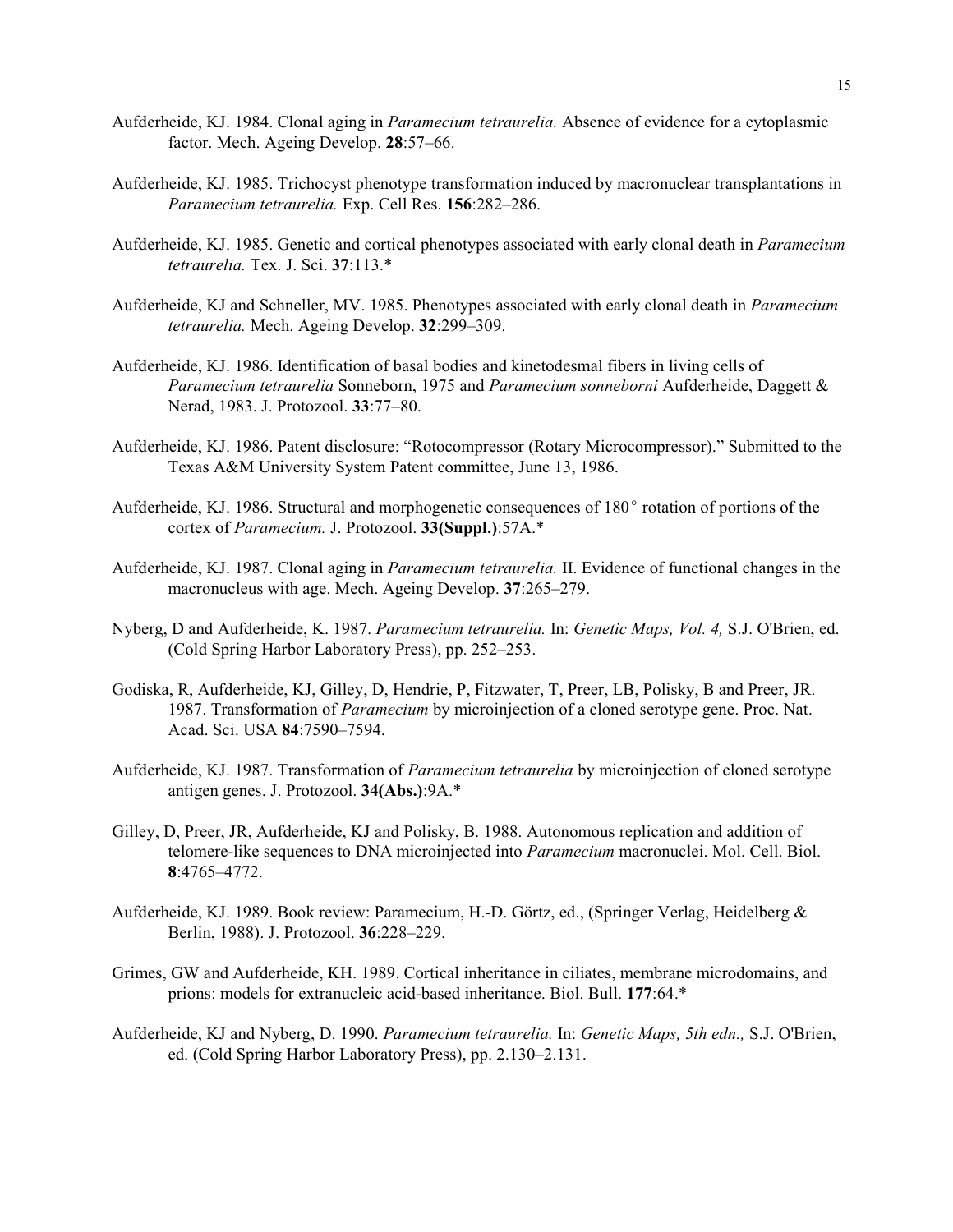- Aufderheide, KJ. 1984. Clonal aging in *Paramecium tetraurelia.* Absence of evidence for a cytoplasmic factor. Mech. Ageing Develop. **28**:57–66.
- Aufderheide, KJ. 1985. Trichocyst phenotype transformation induced by macronuclear transplantations in *Paramecium tetraurelia.* Exp. Cell Res. **156**:282–286.
- Aufderheide, KJ. 1985. Genetic and cortical phenotypes associated with early clonal death in *Paramecium tetraurelia.* Tex. J. Sci. **37**:113.\*
- Aufderheide, KJ and Schneller, MV. 1985. Phenotypes associated with early clonal death in *Paramecium tetraurelia.* Mech. Ageing Develop. **32**:299–309.
- Aufderheide, KJ. 1986. Identification of basal bodies and kinetodesmal fibers in living cells of *Paramecium tetraurelia* Sonneborn, 1975 and *Paramecium sonneborni* Aufderheide, Daggett & Nerad, 1983. J. Protozool. **33**:77–80.
- Aufderheide, KJ. 1986. Patent disclosure: "Rotocompressor (Rotary Microcompressor)." Submitted to the Texas A&M University System Patent committee, June 13, 1986.
- Aufderheide, KJ. 1986. Structural and morphogenetic consequences of 180° rotation of portions of the cortex of *Paramecium.* J. Protozool. **33(Suppl.)**:57A.\*
- Aufderheide, KJ. 1987. Clonal aging in *Paramecium tetraurelia.* II. Evidence of functional changes in the macronucleus with age. Mech. Ageing Develop. **37**:265–279.
- Nyberg, D and Aufderheide, K. 1987. *Paramecium tetraurelia.* In: *Genetic Maps, Vol. 4,* S.J. O'Brien, ed. (Cold Spring Harbor Laboratory Press), pp. 252–253.
- Godiska, R, Aufderheide, KJ, Gilley, D, Hendrie, P, Fitzwater, T, Preer, LB, Polisky, B and Preer, JR. 1987. Transformation of *Paramecium* by microinjection of a cloned serotype gene. Proc. Nat. Acad. Sci. USA **84**:7590–7594.
- Aufderheide, KJ. 1987. Transformation of *Paramecium tetraurelia* by microinjection of cloned serotype antigen genes. J. Protozool. **34(Abs.)**:9A.\*
- Gilley, D, Preer, JR, Aufderheide, KJ and Polisky, B. 1988. Autonomous replication and addition of telomere-like sequences to DNA microinjected into *Paramecium* macronuclei. Mol. Cell. Biol. **8**:4765–4772.
- Aufderheide, KJ. 1989. Book review: Paramecium, H.-D. Görtz, ed., (Springer Verlag, Heidelberg & Berlin, 1988). J. Protozool. **36**:228–229.
- Grimes, GW and Aufderheide, KH. 1989. Cortical inheritance in ciliates, membrane microdomains, and prions: models for extranucleic acid-based inheritance. Biol. Bull. **177**:64.\*
- Aufderheide, KJ and Nyberg, D. 1990. *Paramecium tetraurelia.* In: *Genetic Maps, 5th edn.,* S.J. O'Brien, ed. (Cold Spring Harbor Laboratory Press), pp. 2.130–2.131.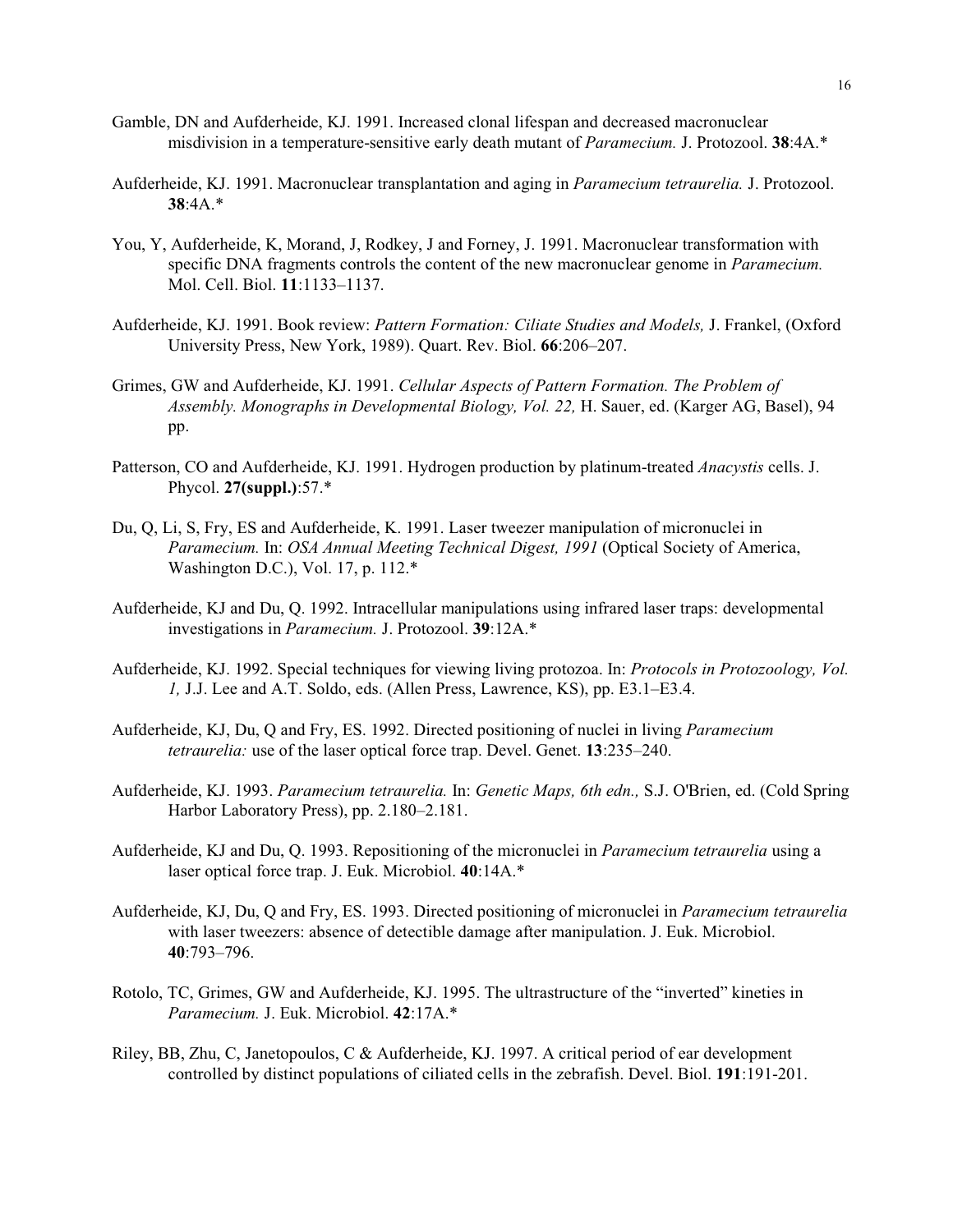- Gamble, DN and Aufderheide, KJ. 1991. Increased clonal lifespan and decreased macronuclear misdivision in a temperature-sensitive early death mutant of *Paramecium.* J. Protozool. **38**:4A.\*
- Aufderheide, KJ. 1991. Macronuclear transplantation and aging in *Paramecium tetraurelia.* J. Protozool. **38**:4A.\*
- You, Y, Aufderheide, K, Morand, J, Rodkey, J and Forney, J. 1991. Macronuclear transformation with specific DNA fragments controls the content of the new macronuclear genome in *Paramecium.* Mol. Cell. Biol. **11**:1133–1137.
- Aufderheide, KJ. 1991. Book review: *Pattern Formation: Ciliate Studies and Models,* J. Frankel, (Oxford University Press, New York, 1989). Quart. Rev. Biol. **66**:206–207.
- Grimes, GW and Aufderheide, KJ. 1991. *Cellular Aspects of Pattern Formation. The Problem of Assembly. Monographs in Developmental Biology, Vol. 22,* H. Sauer, ed. (Karger AG, Basel), 94 pp.
- Patterson, CO and Aufderheide, KJ. 1991. Hydrogen production by platinum-treated *Anacystis* cells. J. Phycol. **27(suppl.)**:57.\*
- Du, Q, Li, S, Fry, ES and Aufderheide, K. 1991. Laser tweezer manipulation of micronuclei in *Paramecium.* In: *OSA Annual Meeting Technical Digest, 1991* (Optical Society of America, Washington D.C.), Vol. 17, p. 112.\*
- Aufderheide, KJ and Du, Q. 1992. Intracellular manipulations using infrared laser traps: developmental investigations in *Paramecium.* J. Protozool. **39**:12A.\*
- Aufderheide, KJ. 1992. Special techniques for viewing living protozoa. In: *Protocols in Protozoology, Vol. 1,* J.J. Lee and A.T. Soldo, eds. (Allen Press, Lawrence, KS), pp. E3.1–E3.4.
- Aufderheide, KJ, Du, Q and Fry, ES. 1992. Directed positioning of nuclei in living *Paramecium tetraurelia:* use of the laser optical force trap. Devel. Genet. **13**:235–240.
- Aufderheide, KJ. 1993. *Paramecium tetraurelia.* In: *Genetic Maps, 6th edn.,* S.J. O'Brien, ed. (Cold Spring Harbor Laboratory Press), pp. 2.180–2.181.
- Aufderheide, KJ and Du, Q. 1993. Repositioning of the micronuclei in *Paramecium tetraurelia* using a laser optical force trap. J. Euk. Microbiol. **40**:14A.\*
- Aufderheide, KJ, Du, Q and Fry, ES. 1993. Directed positioning of micronuclei in *Paramecium tetraurelia* with laser tweezers: absence of detectible damage after manipulation. J. Euk. Microbiol. **40**:793–796.
- Rotolo, TC, Grimes, GW and Aufderheide, KJ. 1995. The ultrastructure of the "inverted" kineties in *Paramecium.* J. Euk. Microbiol. **42**:17A.\*
- Riley, BB, Zhu, C, Janetopoulos, C & Aufderheide, KJ. 1997. A critical period of ear development controlled by distinct populations of ciliated cells in the zebrafish. Devel. Biol. **191**:191-201.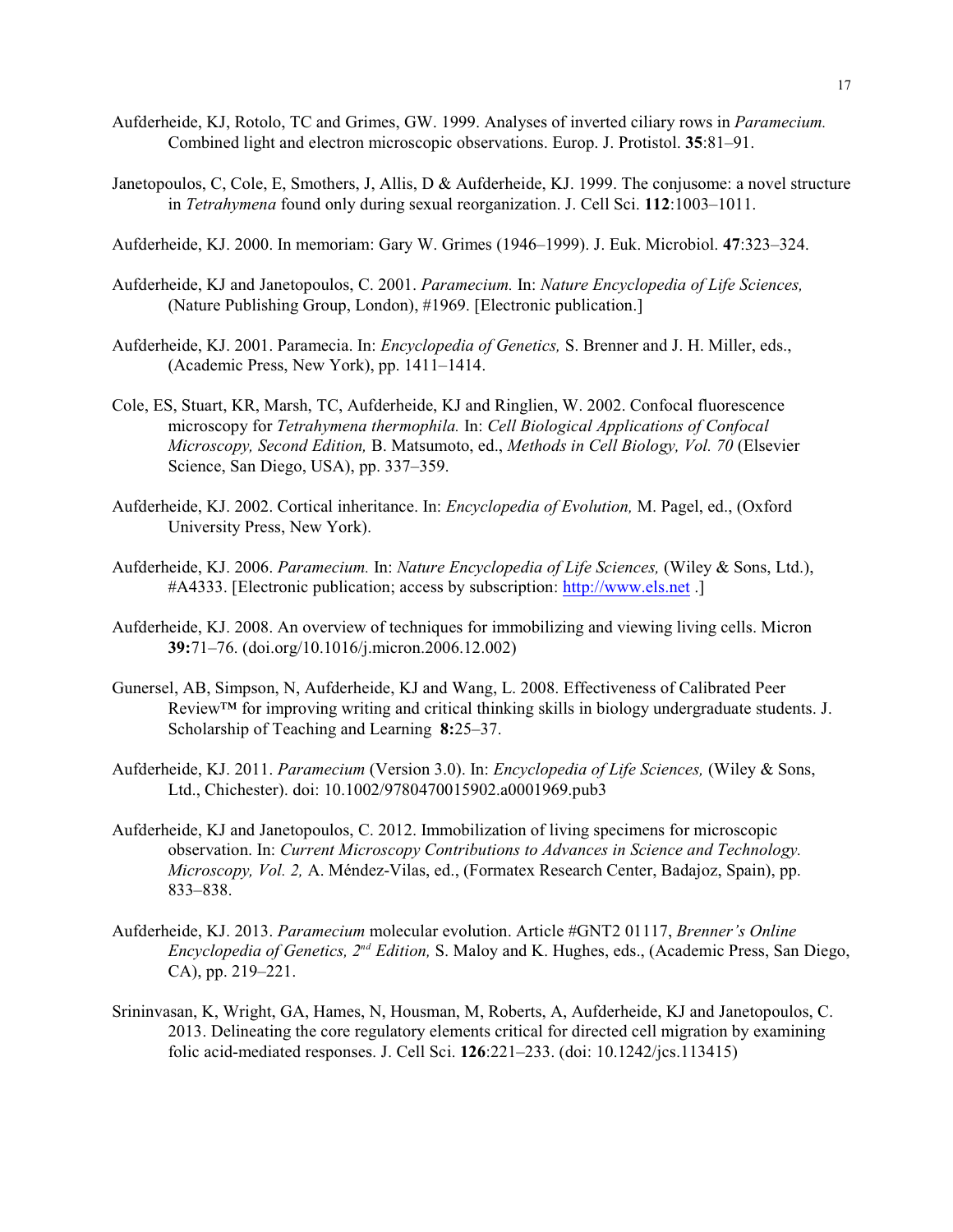- Aufderheide, KJ, Rotolo, TC and Grimes, GW. 1999. Analyses of inverted ciliary rows in *Paramecium.* Combined light and electron microscopic observations. Europ. J. Protistol. **35**:81–91.
- Janetopoulos, C, Cole, E, Smothers, J, Allis, D & Aufderheide, KJ. 1999. The conjusome: a novel structure in *Tetrahymena* found only during sexual reorganization. J. Cell Sci. **112**:1003–1011.
- Aufderheide, KJ. 2000. In memoriam: Gary W. Grimes (1946–1999). J. Euk. Microbiol. **47**:323–324.
- Aufderheide, KJ and Janetopoulos, C. 2001. *Paramecium.* In: *Nature Encyclopedia of Life Sciences,* (Nature Publishing Group, London), #1969. [Electronic publication.]
- Aufderheide, KJ. 2001. Paramecia. In: *Encyclopedia of Genetics,* S. Brenner and J. H. Miller, eds., (Academic Press, New York), pp. 1411–1414.
- Cole, ES, Stuart, KR, Marsh, TC, Aufderheide, KJ and Ringlien, W. 2002. Confocal fluorescence microscopy for *Tetrahymena thermophila.* In: *Cell Biological Applications of Confocal Microscopy, Second Edition,* B. Matsumoto, ed., *Methods in Cell Biology, Vol. 70* (Elsevier Science, San Diego, USA), pp. 337–359.
- Aufderheide, KJ. 2002. Cortical inheritance. In: *Encyclopedia of Evolution,* M. Pagel, ed., (Oxford University Press, New York).
- Aufderheide, KJ. 2006. *Paramecium.* In: *Nature Encyclopedia of Life Sciences,* (Wiley & Sons, Ltd.), #A4333. [Electronic publication; access by subscription: [http://www.els.net](http://www.els.net.]) .]
- Aufderheide, KJ. 2008. An overview of techniques for immobilizing and viewing living cells. Micron **39:**71–76. (doi.org/10.1016/j.micron.2006.12.002)
- Gunersel, AB, Simpson, N, Aufderheide, KJ and Wang, L. 2008. Effectiveness of Calibrated Peer Review™ for improving writing and critical thinking skills in biology undergraduate students. J. Scholarship of Teaching and Learning **8:**25–37.
- Aufderheide, KJ. 2011. *Paramecium* (Version 3.0). In: *Encyclopedia of Life Sciences,* (Wiley & Sons, Ltd., Chichester). doi: 10.1002/9780470015902.a0001969.pub3
- Aufderheide, KJ and Janetopoulos, C. 2012. Immobilization of living specimens for microscopic observation. In: *Current Microscopy Contributions to Advances in Science and Technology. Microscopy, Vol. 2,* A. Méndez-Vilas, ed., (Formatex Research Center, Badajoz, Spain), pp. 833–838.
- Aufderheide, KJ. 2013. *Paramecium* molecular evolution. Article #GNT2 01117, *Brenner's Online Encyclopedia of Genetics, 2<sup>nd</sup> Edition,* S. Maloy and K. Hughes, eds., (Academic Press, San Diego, CA), pp. 219–221.
- Srininvasan, K, Wright, GA, Hames, N, Housman, M, Roberts, A, Aufderheide, KJ and Janetopoulos, C. 2013. Delineating the core regulatory elements critical for directed cell migration by examining folic acid-mediated responses. J. Cell Sci. **126**:221–233. (doi: 10.1242/jcs.113415)